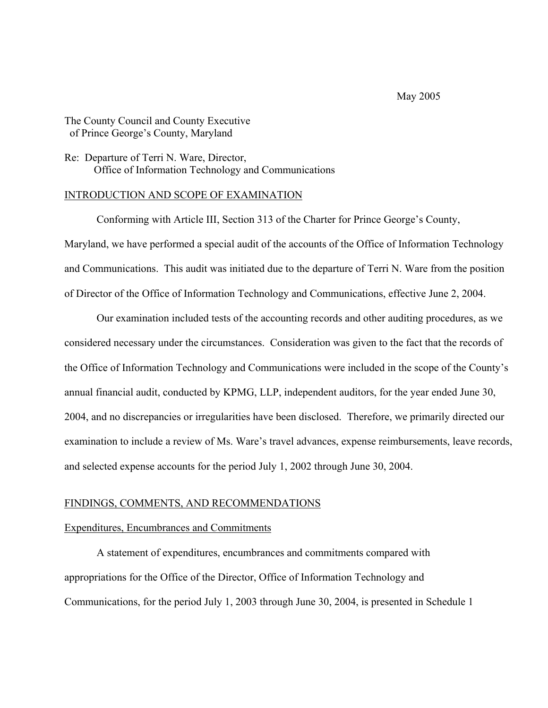### May 2005

# The County Council and County Executive of Prince George's County, Maryland

## Re: Departure of Terri N. Ware, Director, Office of Information Technology and Communications

### INTRODUCTION AND SCOPE OF EXAMINATION

 Conforming with Article III, Section 313 of the Charter for Prince George's County, Maryland, we have performed a special audit of the accounts of the Office of Information Technology and Communications. This audit was initiated due to the departure of Terri N. Ware from the position of Director of the Office of Information Technology and Communications, effective June 2, 2004.

 Our examination included tests of the accounting records and other auditing procedures, as we considered necessary under the circumstances. Consideration was given to the fact that the records of the Office of Information Technology and Communications were included in the scope of the County's annual financial audit, conducted by KPMG, LLP, independent auditors, for the year ended June 30, 2004, and no discrepancies or irregularities have been disclosed. Therefore, we primarily directed our examination to include a review of Ms. Ware's travel advances, expense reimbursements, leave records, and selected expense accounts for the period July 1, 2002 through June 30, 2004.

#### FINDINGS, COMMENTS, AND RECOMMENDATIONS

#### Expenditures, Encumbrances and Commitments

 A statement of expenditures, encumbrances and commitments compared with appropriations for the Office of the Director, Office of Information Technology and Communications, for the period July 1, 2003 through June 30, 2004, is presented in Schedule 1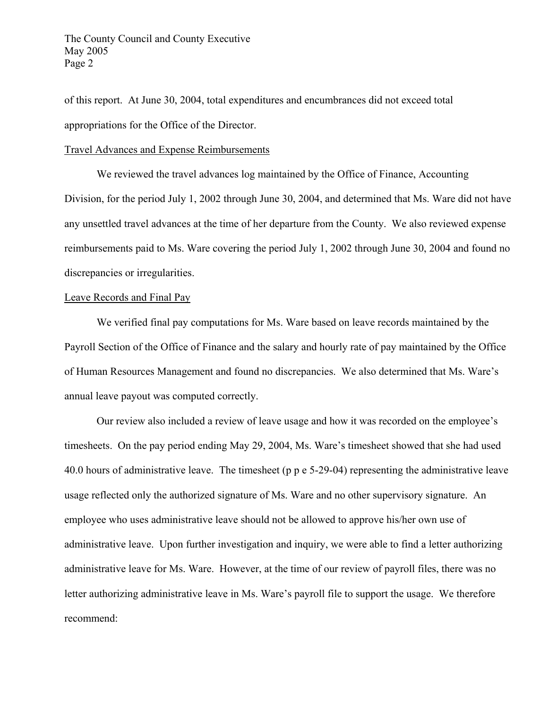of this report. At June 30, 2004, total expenditures and encumbrances did not exceed total appropriations for the Office of the Director.

#### Travel Advances and Expense Reimbursements

 We reviewed the travel advances log maintained by the Office of Finance, Accounting Division, for the period July 1, 2002 through June 30, 2004, and determined that Ms. Ware did not have any unsettled travel advances at the time of her departure from the County. We also reviewed expense reimbursements paid to Ms. Ware covering the period July 1, 2002 through June 30, 2004 and found no discrepancies or irregularities.

### Leave Records and Final Pay

 We verified final pay computations for Ms. Ware based on leave records maintained by the Payroll Section of the Office of Finance and the salary and hourly rate of pay maintained by the Office of Human Resources Management and found no discrepancies. We also determined that Ms. Ware's annual leave payout was computed correctly.

 Our review also included a review of leave usage and how it was recorded on the employee's timesheets. On the pay period ending May 29, 2004, Ms. Ware's timesheet showed that she had used 40.0 hours of administrative leave. The timesheet (p p e 5-29-04) representing the administrative leave usage reflected only the authorized signature of Ms. Ware and no other supervisory signature. An employee who uses administrative leave should not be allowed to approve his/her own use of administrative leave. Upon further investigation and inquiry, we were able to find a letter authorizing administrative leave for Ms. Ware. However, at the time of our review of payroll files, there was no letter authorizing administrative leave in Ms. Ware's payroll file to support the usage. We therefore recommend: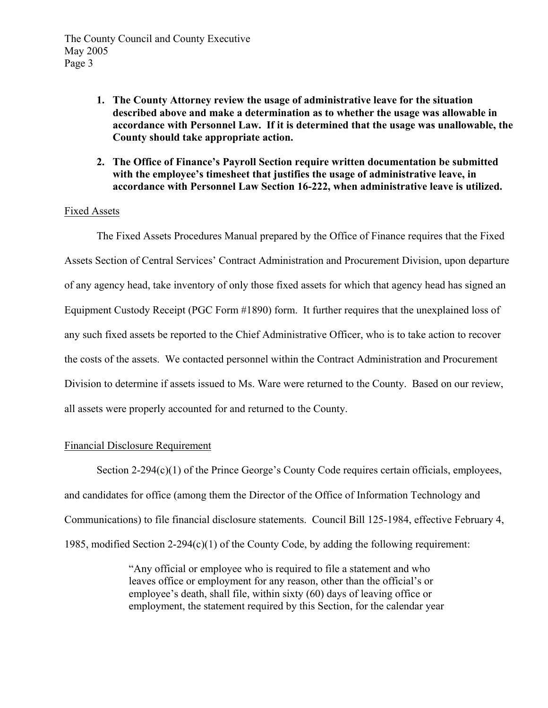- **1. The County Attorney review the usage of administrative leave for the situation described above and make a determination as to whether the usage was allowable in accordance with Personnel Law. If it is determined that the usage was unallowable, the County should take appropriate action.**
- **2. The Office of Finance's Payroll Section require written documentation be submitted with the employee's timesheet that justifies the usage of administrative leave, in accordance with Personnel Law Section 16-222, when administrative leave is utilized.**

# Fixed Assets

 The Fixed Assets Procedures Manual prepared by the Office of Finance requires that the Fixed Assets Section of Central Services' Contract Administration and Procurement Division, upon departure of any agency head, take inventory of only those fixed assets for which that agency head has signed an Equipment Custody Receipt (PGC Form #1890) form. It further requires that the unexplained loss of any such fixed assets be reported to the Chief Administrative Officer, who is to take action to recover the costs of the assets. We contacted personnel within the Contract Administration and Procurement Division to determine if assets issued to Ms. Ware were returned to the County. Based on our review, all assets were properly accounted for and returned to the County.

# Financial Disclosure Requirement

Section 2-294(c)(1) of the Prince George's County Code requires certain officials, employees, and candidates for office (among them the Director of the Office of Information Technology and Communications) to file financial disclosure statements. Council Bill 125-1984, effective February 4, 1985, modified Section 2-294(c)(1) of the County Code, by adding the following requirement:

> "Any official or employee who is required to file a statement and who leaves office or employment for any reason, other than the official's or employee's death, shall file, within sixty (60) days of leaving office or employment, the statement required by this Section, for the calendar year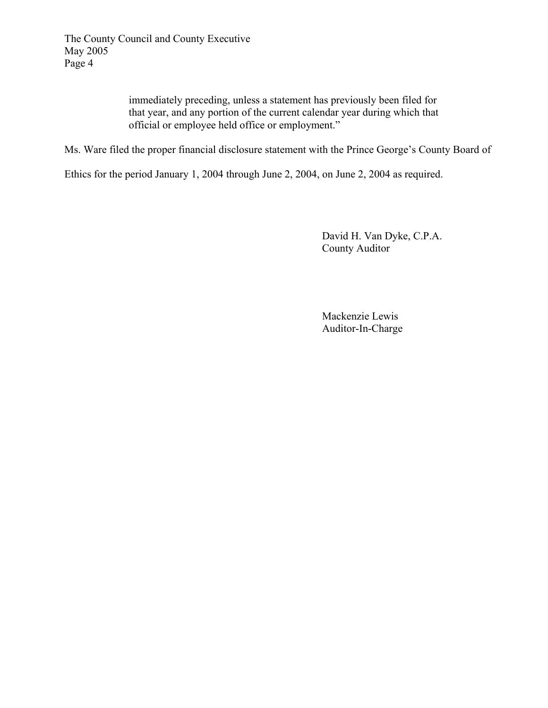immediately preceding, unless a statement has previously been filed for that year, and any portion of the current calendar year during which that official or employee held office or employment."

Ms. Ware filed the proper financial disclosure statement with the Prince George's County Board of

Ethics for the period January 1, 2004 through June 2, 2004, on June 2, 2004 as required.

 David H. Van Dyke, C.P.A. County Auditor

 Mackenzie Lewis Auditor-In-Charge